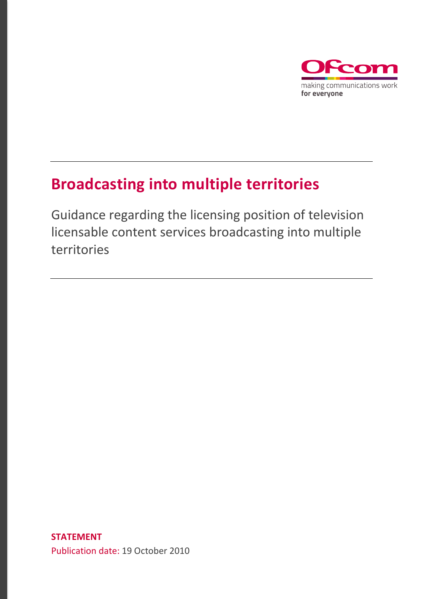

## **Broadcasting into multiple territories**

Guidance regarding the licensing position of television licensable content services broadcasting into multiple territories

**STATEMENT**  Publication date: 19 October 2010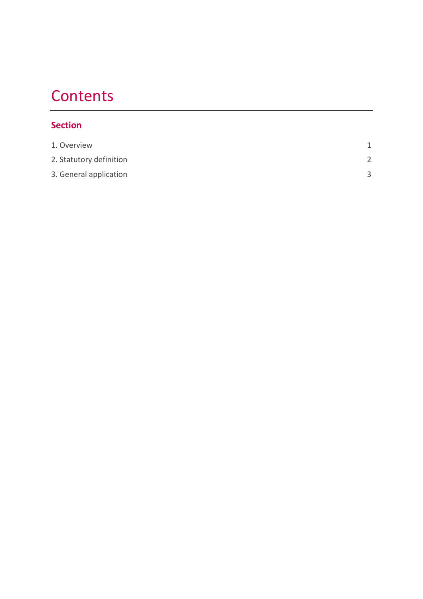# **Contents**

#### **Section**

| 1. Overview             |              |
|-------------------------|--------------|
| 2. Statutory definition |              |
| 3. General application  | $\mathbf{R}$ |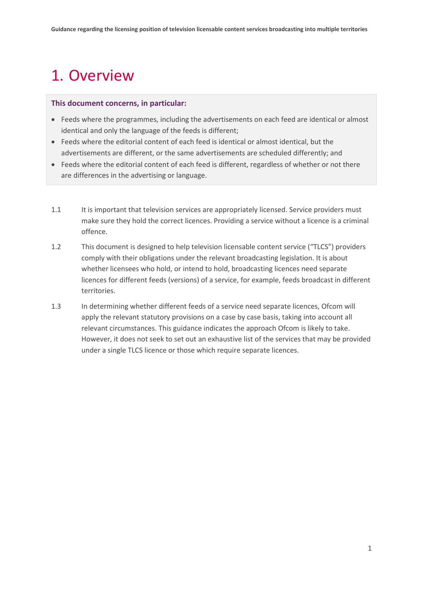# <span id="page-2-0"></span>1. Overview

#### **This document concerns, in particular:**

- Feeds where the programmes, including the advertisements on each feed are identical or almost identical and only the language of the feeds is different;
- Feeds where the editorial content of each feed is identical or almost identical, but the advertisements are different, or the same advertisements are scheduled differently; and
- Feeds where the editorial content of each feed is different, regardless of whether or not there are differences in the advertising or language.
- 1.1 It is important that television services are appropriately licensed. Service providers must make sure they hold the correct licences. Providing a service without a licence is a criminal offence.
- 1.2 This document is designed to help television licensable content service ("TLCS") providers comply with their obligations under the relevant broadcasting legislation. It is about whether licensees who hold, or intend to hold, broadcasting licences need separate licences for different feeds (versions) of a service, for example, feeds broadcast in different territories.
- 1.3 In determining whether different feeds of a service need separate licences, Ofcom will apply the relevant statutory provisions on a case by case basis, taking into account all relevant circumstances. This guidance indicates the approach Ofcom is likely to take. However, it does not seek to set out an exhaustive list of the services that may be provided under a single TLCS licence or those which require separate licences.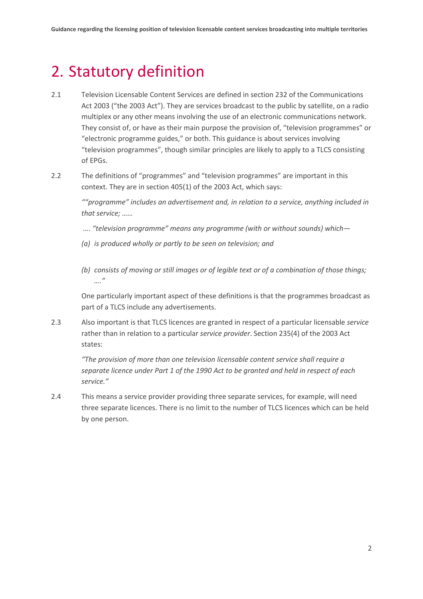### <span id="page-3-0"></span>2. Statutory definition

- 2.1 Television Licensable Content Services are defined in section 232 of the Communications Act 2003 ("the 2003 Act"). They are services broadcast to the public by satellite, on a radio multiplex or any other means involving the use of an electronic communications network. They consist of, or have as their main purpose the provision of, "television programmes" or "electronic programme guides," or both. This guidance is about services involving "television programmes", though similar principles are likely to apply to a TLCS consisting of EPGs.
- 2.2 The definitions of "programmes" and "television programmes" are important in this context. They are in section 405(1) of the 2003 Act, which says:

*""programme" includes an advertisement and, in relation to a service, anything included in that service; ……*

- *…. "television programme" means any programme (with or without sounds) which—*
- *(a) is produced wholly or partly to be seen on television; and*
- *(b) consists of moving or still images or of legible text or of a combination of those things; …."*

One particularly important aspect of these definitions is that the programmes broadcast as part of a TLCS include any advertisements.

2.3 Also important is that TLCS licences are granted in respect of a particular licensable *service* rather than in relation to a particular *service provider*. Section 235(4) of the 2003 Act states:

*"The provision of more than one television licensable content service shall require a separate licence under Part 1 of the 1990 Act to be granted and held in respect of each service."*

2.4 This means a service provider providing three separate services, for example, will need three separate licences. There is no limit to the number of TLCS licences which can be held by one person.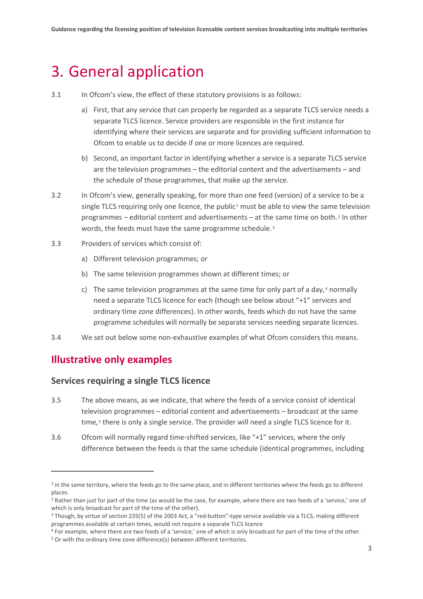### <span id="page-4-0"></span>3. General application

- 3.1 In Ofcom's view, the effect of these statutory provisions is as follows:
	- a) First, that any service that can properly be regarded as a separate TLCS service needs a separate TLCS licence. Service providers are responsible in the first instance for identifying where their services are separate and for providing sufficient information to Ofcom to enable us to decide if one or more licences are required.
	- b) Second, an important factor in identifying whether a service is a separate TLCS service are the television programmes – the editorial content and the advertisements – and the schedule of those programmes, that make up the service.
- 3.2 In Ofcom's view, generally speaking, for more than one feed (version) of a service to be a single TLCS requiring only one licence, the public<sup>[1](#page-4-1)</sup> must be able to view the same television programmes – editorial content and advertisements – at the same time on both. [2](#page-4-2) In other words, the feeds must have the same programme schedule.<sup>[3](#page-4-3)</sup>
- 3.3 Providers of services which consist of:
	- a) Different television programmes; or
	- b) The same television programmes shown at different times; or
	- c) The same television programmes at the same time for only part of a day, [4](#page-4-4) normally need a separate TLCS licence for each (though see below about "+1" services and ordinary time zone differences). In other words, feeds which do not have the same programme schedules will normally be separate services needing separate licences.
- 3.4 We set out below some non-exhaustive examples of what Ofcom considers this means.

#### **Illustrative only examples**

#### **Services requiring a single TLCS licence**

- 3.5 The above means, as we indicate, that where the feeds of a service consist of identical television programmes – editorial content and advertisements – broadcast at the same time,<sup>[5](#page-4-5)</sup> there is only a single service. The provider will need a single TLCS licence for it.
- 3.6 Ofcom will normally regard time-shifted services, like "+1" services, where the only difference between the feeds is that the same schedule (identical programmes, including

<span id="page-4-1"></span><sup>&</sup>lt;sup>1</sup> in the same territory, where the feeds go to the same place, and in different territories where the feeds go to different places.

<span id="page-4-2"></span><sup>&</sup>lt;sup>2</sup> Rather than just for part of the time (as would be the case, for example, where there are two feeds of a 'service,' one of which is only broadcast for part of the time of the other).

<span id="page-4-3"></span><sup>3</sup> Though, by virtue of section 235(5) of the 2003 Act, a "red-button"-type service available via a TLCS, making different programmes available at certain times, would not require a separate TLCS licence

<span id="page-4-5"></span><span id="page-4-4"></span><sup>4</sup> For example, where there are two feeds of a 'service,' one of which is only broadcast for part of the time of the other. <sup>5</sup> Or with the ordinary time zone difference(s) between different territories.